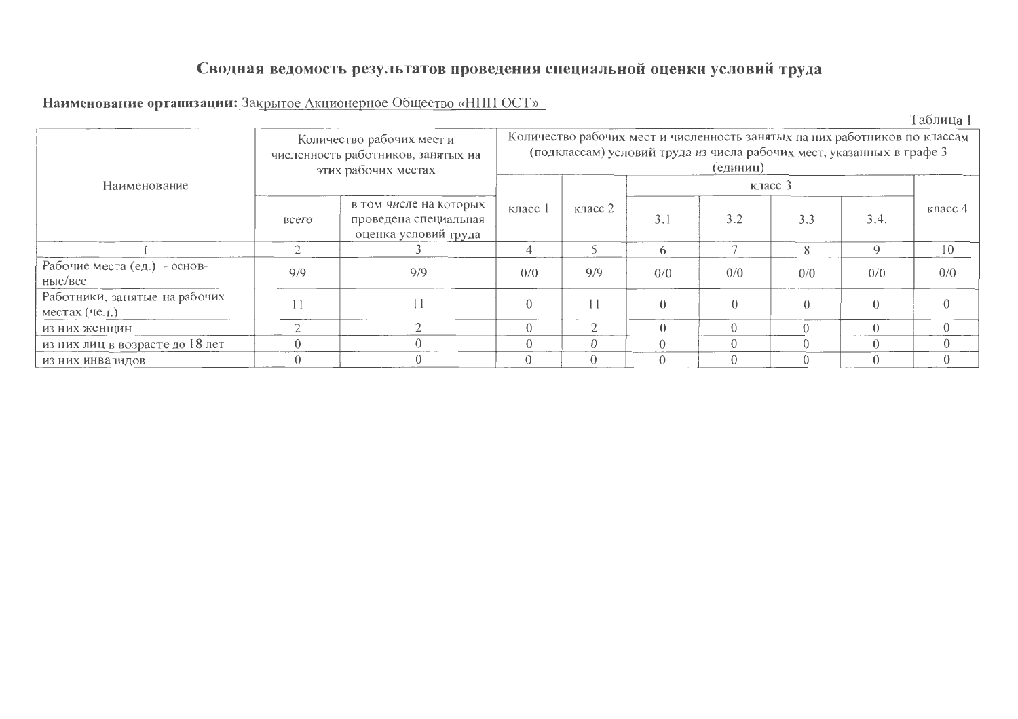# Сводная ведомость результатов проведения специальной оценки условий труда

### Наименование организации: Закрытое Акционерное Общество «НПП ОСТ»

Таблица 1

|                                                | Количество рабочих мест и<br>численность работников, занятых на<br>этих рабочих местах | Количество рабочих мест и численность занятых на них работников по классам<br>(подклассам) условий труда из числа рабочих мест, указанных в графе 3<br>(единиц) |         |           |          |          |          |          |          |  |
|------------------------------------------------|----------------------------------------------------------------------------------------|-----------------------------------------------------------------------------------------------------------------------------------------------------------------|---------|-----------|----------|----------|----------|----------|----------|--|
| Наименование                                   |                                                                                        |                                                                                                                                                                 |         |           |          |          |          |          |          |  |
|                                                | всего                                                                                  | в том числе на которых<br>проведена специальная<br>оценка условий труда                                                                                         | класс 1 | класс $2$ |          | 3.2      | 3.3      | 3.4.     | класс 4  |  |
|                                                |                                                                                        |                                                                                                                                                                 |         |           | 6        |          | 8        | $\Omega$ | 10       |  |
| Рабочие места (ед.) - основ-<br>Hb1e/Bce       | 9/9                                                                                    | 9/9                                                                                                                                                             | 0/0     | 9/9       | 0/0      | 0/0      | 0/0      | 0/0      | 0/0      |  |
| Работники, занятые на рабочих<br>местах (чел.) |                                                                                        |                                                                                                                                                                 |         | 11        | $\Omega$ |          |          | $\Omega$ |          |  |
| из них женщин                                  |                                                                                        |                                                                                                                                                                 |         |           |          |          |          |          |          |  |
| из них лиц в возрасте до 18 лет                |                                                                                        |                                                                                                                                                                 |         | $\Omega$  | $\Omega$ |          | $\Omega$ |          |          |  |
| из них инвалидов                               |                                                                                        |                                                                                                                                                                 |         | $\Omega$  | $\Omega$ | $\Omega$ | $\theta$ |          | $\Omega$ |  |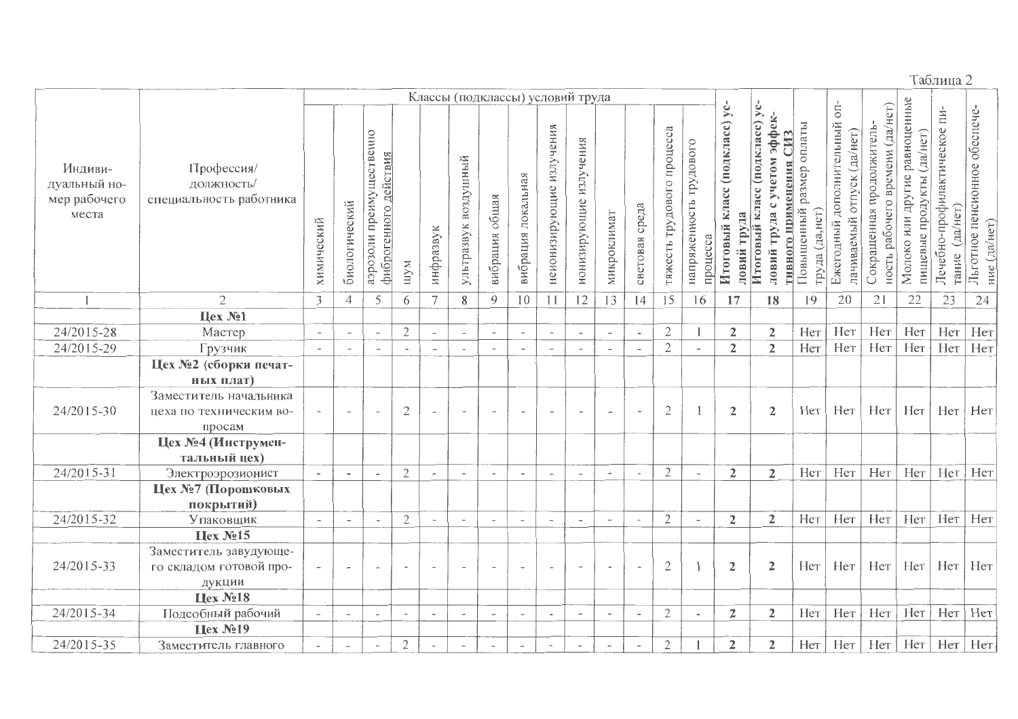Таблица 2

|                                                  |                                                     |                          |                          |                                                   |                          |                          | Классы (подклассы) условий труда |                          |                          |                          |                          |                              |                          |                            |                                     |                                                 |                                                                                                                 |                                                  |                                                                                    |                                                                 |                                                                  |                                                      |                                                     |
|--------------------------------------------------|-----------------------------------------------------|--------------------------|--------------------------|---------------------------------------------------|--------------------------|--------------------------|----------------------------------|--------------------------|--------------------------|--------------------------|--------------------------|------------------------------|--------------------------|----------------------------|-------------------------------------|-------------------------------------------------|-----------------------------------------------------------------------------------------------------------------|--------------------------------------------------|------------------------------------------------------------------------------------|-----------------------------------------------------------------|------------------------------------------------------------------|------------------------------------------------------|-----------------------------------------------------|
| Индиви-<br>дуальный но-<br>мер рабочего<br>места | Профессия/<br>должность/<br>специальность работника | химический               | биологический            | аэрозоли преимущественно<br>фиброгенного действия | шум                      | инфразвук                | ультразвук воздушный             | общая<br>вибрация        | вибрация локальная       | неионизирующие излучения | ионизирующие излучения   | микроклимат                  | световая среда           | тяжесть трудового процесса | напряженность трудового<br>процесса | класс (подкласс) ус-<br>ловий труда<br>Итоговый | класс (подкласс) ус-<br>-я ффек-<br>гивного применения СИЗ<br>учетом<br>$\bullet$<br>труда<br>Итоговый<br>ловий | размер оплаты<br>Повышенный<br>(да,нет)<br>труда | O <sub>II</sub><br>дополнительный<br>(да/нет)<br>отпуск<br>лачиваемый<br>Ежегодный | (да/нет)<br>Сокращенная продолжитель-<br>ность рабочего времени | равноценные<br>(да/нет)<br>Молоко или другие<br>пищевые продукты | ПИ-<br>Лечебно-профилактическое<br>(да/нет)<br>тание | обеспече-<br>Льготное пенсионное<br>(да/нет)<br>ние |
|                                                  | $\overline{2}$                                      | 3                        | $\overline{4}$           | 5                                                 | 6                        | $\tau$                   | 8                                | 9                        | 10                       | 11                       | 12                       | 13                           | 14                       | $\overline{15}$            | 16                                  | 17                                              | 18                                                                                                              | 19                                               | 20                                                                                 | 21                                                              | 22                                                               | 23                                                   | 24                                                  |
|                                                  | Цех №1                                              |                          |                          |                                                   |                          |                          |                                  |                          |                          |                          |                          |                              |                          |                            |                                     |                                                 |                                                                                                                 |                                                  |                                                                                    |                                                                 |                                                                  |                                                      |                                                     |
| 24/2015-28                                       | Мастер                                              | $\overline{\phantom{a}}$ | $\overline{\phantom{a}}$ | $\overline{\phantom{a}}$                          | $\overline{2}$           | $\overline{\phantom{a}}$ | $\overline{\phantom{a}}$         | $\overline{\phantom{a}}$ | $\overline{\phantom{a}}$ | $\overline{\phantom{a}}$ | $\overline{\phantom{a}}$ | $\overline{\phantom{0}}$     | $\overline{\phantom{a}}$ | $\mathfrak{2}$             |                                     | $\overline{2}$                                  | $\overline{2}$                                                                                                  | Her                                              | Her                                                                                | Нет                                                             | Нет                                                              | Her                                                  | Her                                                 |
| 24/2015-29                                       | Грузчик                                             | $\overline{\phantom{a}}$ | $\overline{a}$           | $\overline{a}$                                    | $\overline{\phantom{a}}$ |                          | $\overline{\phantom{a}}$         | $\overline{a}$           | $\overline{\phantom{a}}$ | $\overline{\phantom{a}}$ | $\overline{\phantom{a}}$ | $\overline{\phantom{a}}$     | $\overline{\phantom{a}}$ | $\mathfrak{2}$             |                                     | $\overline{2}$                                  | $\overline{2}$                                                                                                  | Her                                              | Her                                                                                | Нет                                                             | Her                                                              | Нет                                                  | Her                                                 |
|                                                  | Цех №2 (сборки печат-                               |                          |                          |                                                   |                          |                          |                                  |                          |                          |                          |                          |                              |                          |                            |                                     |                                                 |                                                                                                                 |                                                  |                                                                                    |                                                                 |                                                                  |                                                      |                                                     |
|                                                  | ных плат)                                           |                          |                          |                                                   |                          |                          |                                  |                          |                          |                          |                          |                              |                          |                            |                                     |                                                 |                                                                                                                 |                                                  |                                                                                    |                                                                 |                                                                  |                                                      |                                                     |
|                                                  | Заместитель начальника                              |                          |                          |                                                   |                          |                          |                                  |                          |                          |                          |                          |                              |                          |                            |                                     |                                                 |                                                                                                                 |                                                  |                                                                                    |                                                                 |                                                                  |                                                      |                                                     |
| 24/2015-30                                       | цеха по техническим во-                             |                          | $\overline{\phantom{a}}$ |                                                   | $\mathfrak{2}$           |                          | $\sim$                           |                          |                          | $\overline{\phantom{a}}$ | $\overline{\phantom{0}}$ | $\overline{\phantom{a}}$     |                          | $\overline{2}$             |                                     | $\overline{2}$                                  | $\overline{2}$                                                                                                  | Her                                              | Her                                                                                | Her                                                             | Her                                                              | Нет                                                  | Her                                                 |
|                                                  | просам                                              |                          |                          |                                                   |                          |                          |                                  |                          |                          |                          |                          |                              |                          |                            |                                     |                                                 |                                                                                                                 |                                                  |                                                                                    |                                                                 |                                                                  |                                                      |                                                     |
|                                                  | Цех №4 (Инструмен-                                  |                          |                          |                                                   |                          |                          |                                  |                          |                          |                          |                          |                              |                          |                            |                                     |                                                 |                                                                                                                 |                                                  |                                                                                    |                                                                 |                                                                  |                                                      |                                                     |
|                                                  | тальный цех)                                        |                          |                          |                                                   |                          |                          |                                  |                          |                          |                          |                          |                              |                          |                            |                                     |                                                 |                                                                                                                 |                                                  |                                                                                    |                                                                 |                                                                  |                                                      |                                                     |
| 24/2015-31                                       | Электроэрозионист                                   | $\overline{\phantom{a}}$ | $\overline{\phantom{a}}$ |                                                   | $\mathfrak{2}$           |                          | $\overline{\phantom{0}}$         | $\overline{\phantom{0}}$ | $\blacksquare$           | $\overline{\phantom{a}}$ | $\overline{\phantom{a}}$ | $\qquad \qquad \blacksquare$ |                          | $\mathfrak{2}$             |                                     | $\overline{2}$                                  | $\overline{2}$                                                                                                  | Her                                              | Her                                                                                | Her                                                             | Her                                                              | Her                                                  | Нет                                                 |
|                                                  | Цех №7 (Порошковых                                  |                          |                          |                                                   |                          |                          |                                  |                          |                          |                          |                          |                              |                          |                            |                                     |                                                 |                                                                                                                 |                                                  |                                                                                    |                                                                 |                                                                  |                                                      |                                                     |
|                                                  | покрытий)                                           |                          |                          |                                                   |                          |                          |                                  |                          |                          |                          |                          |                              |                          |                            |                                     |                                                 |                                                                                                                 |                                                  |                                                                                    |                                                                 |                                                                  |                                                      |                                                     |
| 24/2015-32                                       | Упаковщик                                           | $\overline{\phantom{a}}$ | $\overline{a}$           |                                                   | $\mathbf{2}$             |                          | $\sim$                           |                          | $\overline{\phantom{a}}$ | $\sim$                   | $\overline{\phantom{a}}$ | $\overline{a}$               |                          | $\mathfrak{2}$             | $\overline{a}$                      | $\overline{2}$                                  | $\overline{2}$                                                                                                  | Her                                              | Her                                                                                | Her                                                             | Her                                                              | Her                                                  | Her                                                 |
|                                                  | Hex No15                                            |                          |                          |                                                   |                          |                          |                                  |                          |                          |                          |                          |                              |                          |                            |                                     |                                                 |                                                                                                                 |                                                  |                                                                                    |                                                                 |                                                                  |                                                      |                                                     |
|                                                  | Заместитель завудующе-                              |                          |                          |                                                   |                          |                          |                                  |                          |                          |                          |                          |                              |                          |                            |                                     |                                                 |                                                                                                                 |                                                  |                                                                                    |                                                                 |                                                                  |                                                      |                                                     |
| 24/2015-33                                       | го складом готовой про-                             |                          | $\overline{\phantom{a}}$ | $\overline{\phantom{a}}$                          |                          |                          | $\overline{\phantom{a}}$         | $\overline{\phantom{0}}$ | $\overline{\phantom{a}}$ | $\overline{\phantom{a}}$ | $\overline{\phantom{a}}$ | $\overline{\phantom{a}}$     |                          | $\mathfrak{2}$             |                                     | $\overline{2}$                                  | $\overline{2}$                                                                                                  | Hет                                              | Нет                                                                                | Нет                                                             | Нет                                                              | Her                                                  | Her                                                 |
|                                                  | дукции                                              |                          |                          |                                                   |                          |                          |                                  |                          |                          |                          |                          |                              |                          |                            |                                     |                                                 |                                                                                                                 |                                                  |                                                                                    |                                                                 |                                                                  |                                                      |                                                     |
|                                                  | Ilex N <sub>2</sub> 18                              |                          |                          |                                                   |                          |                          |                                  |                          |                          |                          |                          |                              |                          |                            |                                     |                                                 |                                                                                                                 |                                                  |                                                                                    |                                                                 |                                                                  |                                                      |                                                     |
| 24/2015-34                                       | Подсобный рабочий                                   | $\overline{\phantom{a}}$ | $\overline{\phantom{a}}$ | $\ddot{\phantom{1}}$                              | $\overline{\phantom{a}}$ | $\overline{\phantom{a}}$ | $\overline{\phantom{a}}$         | $\overline{a}$           | $\overline{\phantom{a}}$ | $\blacksquare$           | $\overline{\phantom{a}}$ | $\overline{\phantom{0}}$     | $\overline{\phantom{a}}$ | $\mathfrak{2}$             | $\overline{\phantom{a}}$            | $\overline{2}$                                  | $\overline{2}$                                                                                                  | Her                                              | Her                                                                                | Нет                                                             | Нет                                                              | Her                                                  | Нет                                                 |
|                                                  | Цех №19                                             |                          |                          |                                                   |                          |                          |                                  |                          |                          |                          |                          |                              |                          |                            |                                     |                                                 |                                                                                                                 |                                                  |                                                                                    |                                                                 |                                                                  |                                                      |                                                     |
| 24/2015-35                                       | Заместитель главного                                |                          | $\overline{\phantom{a}}$ |                                                   | $\mathbf{2}$             |                          | $\overline{a}$                   |                          | $\overline{\phantom{a}}$ |                          | $\overline{\phantom{a}}$ |                              | $\bar{a}$                | $\mathfrak{2}$             |                                     | $\overline{2}$                                  | $\overline{2}$                                                                                                  | Нет                                              | Нет                                                                                | Her                                                             | Нет                                                              | Her                                                  | Her                                                 |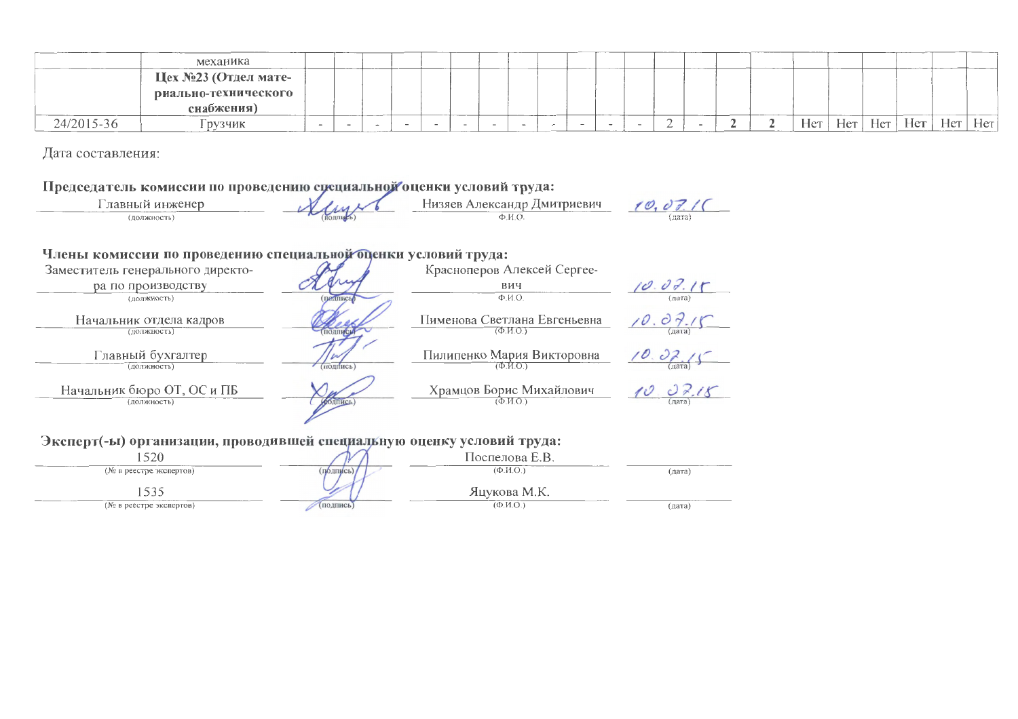|            | механика             |  |  |  |  |  |  |  |  |     |     |              |     |     |     |
|------------|----------------------|--|--|--|--|--|--|--|--|-----|-----|--------------|-----|-----|-----|
|            | Цех №23 (Отдел мате- |  |  |  |  |  |  |  |  |     |     |              |     |     |     |
|            | риально-технического |  |  |  |  |  |  |  |  |     |     |              |     |     |     |
|            | снабжения)           |  |  |  |  |  |  |  |  |     |     |              |     |     |     |
| 24/2015-36 | рузчик               |  |  |  |  |  |  |  |  | Het | Нет | $T$ T<br>Нет | Нет | Hет | Her |

Дата составления:

#### Председатель комиссии по проведению специальной оценки условий труда:



#### Члены комиссии по проведению специальной оценки условий труда:

| Заместитель генерального директо-         |                | Красноперов Алексей Сергее-                                            |                   |
|-------------------------------------------|----------------|------------------------------------------------------------------------|-------------------|
| ра по производству                        |                | вич                                                                    | 10.07.15          |
| (должность)                               | подпись        | $\Phi$ . $H$ . $O$ .                                                   | (дата)            |
| Начальник отдела кадров<br>(ДОЛЖНОСТЬ)    |                | Пименова Светлана Евгеньевна<br>(opl, MO)                              | дата)             |
| Главный бухгалтер<br>(должность)          | подпись)       | Пилипенко Мария Викторовна<br>$(\Phi$ <sub>M</sub> O <sub>)</sub>      | $\frac{10.07}{2}$ |
| Начальник бюро ОТ, ОС и ПБ<br>(должность) | <b>ИЮДПИСЬ</b> | Храмцов Борис Михайлович<br>$(\Phi$ <sub>M</sub> $\Omega$ <sub>n</sub> | лата)             |

#### Эксперт(-ы) организации, проводившей специальную оценку условий труда:

| $\epsilon \rightarrow \epsilon$ | $\mathbf{u}$   | Поспелова Е.В.                                         |        |
|---------------------------------|----------------|--------------------------------------------------------|--------|
| (№ в реестре экспертов)         | <b>ПОЛПИСІ</b> | $(\Phi$ <sub>M</sub> $H$ <sub>.</sub> $O$ <sub>i</sub> | (дата) |
|                                 |                | Яцукова М.К.                                           |        |
| (№ в реестре экспертов)         | (подпись)      | $(\Phi$ <sub>11.0</sub>                                | (дата) |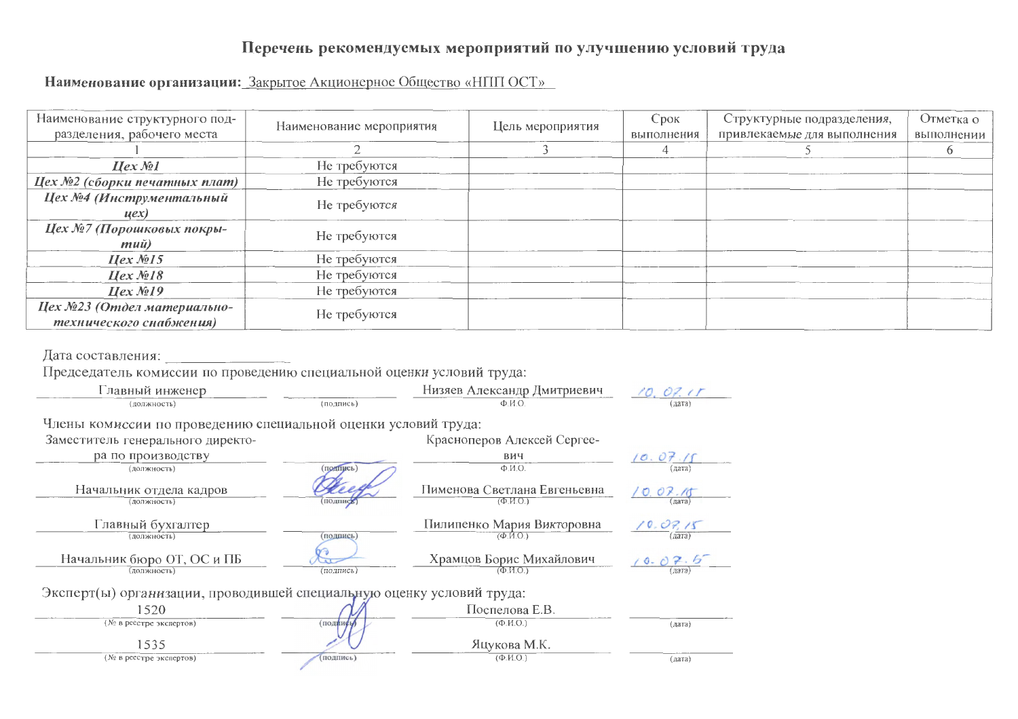## Перечень рекомендуемых мероприятий по улучшению условий труда

Наименование организации: Закрытое Акционерное Общество «НПП ОСТ»

| Наименование структурного под-<br>разделения, рабочего места | Наименование мероприятия | Цель мероприятия | Срок<br>выполнения | Структурные подразделения,<br>привлекаемые для выполнения | Отметка о<br>выполнении |
|--------------------------------------------------------------|--------------------------|------------------|--------------------|-----------------------------------------------------------|-------------------------|
|                                                              |                          |                  |                    |                                                           |                         |
| $Hex$ No $l$                                                 | Не требуются             |                  |                    |                                                           |                         |
| Цех №2 (сборки печатных плат)                                | Не требуются             |                  |                    |                                                           |                         |
| Цех №4 (Инструментальный<br>$\mu$ ex $)$                     | Не требуются             |                  |                    |                                                           |                         |
| Цех №7 (Порошковых покры-<br>$mu\ddot{u}$                    | Не требуются             |                  |                    |                                                           |                         |
| $Hex \mathcal{M}$ 15                                         | Не требуются             |                  |                    |                                                           |                         |
| $Hex \mathcal{N}$ 218                                        | Не требуются             |                  |                    |                                                           |                         |
| $\textit{Hex} \mathcal{N}$ <sup>219</sup>                    | Не требуются             |                  |                    |                                                           |                         |
| Цех №23 (Отдел материально-<br>технического снабжения)       | Не требуются             |                  |                    |                                                           |                         |

Дата составления:<br>Председатель комиссии по проведению специальной оценки условий труда:

| Главный инженер                                                       |           | Низяев Александр Дмитриевич                                         | 10.07.11           |
|-----------------------------------------------------------------------|-----------|---------------------------------------------------------------------|--------------------|
| (должность)                                                           | (подпись) | $\Phi$ . <i>H.O.</i>                                                | (a <sub>3</sub>    |
| Члены комиссии по проведению специальной оценки условий труда:        |           |                                                                     |                    |
| Заместитель генерального директо-                                     |           | Красноперов Алексей Сергее-                                         |                    |
| ра по производству                                                    |           | вич                                                                 | 10.07.15           |
| (должность)                                                           | (подпись) | $\Phi$ . <i>M.O.</i>                                                | (дата)             |
| Начальник отдела кадров<br>(должность)                                | (подпись  | Пименова Светлана Евгеньевна<br>$(\Phi$ <sub>M</sub> $O1)$          | 10.07.15           |
| Главный бухгалтер<br>(должность)                                      | (подпись) | Пилипенко Мария Викторовна<br>$(\Phi$ <sub>M</sub> O <sub>.</sub> ) | 10.07,15<br>(дата) |
| Начальник бюро ОТ, ОС и ПБ<br>(должность)                             | (подпись) | Храмцов Борис Михайлович<br>(ФИО)                                   | 10.07.6<br>лата    |
| Эксперт(ы) организации, проводившей специальную оценку условий труда: |           |                                                                     |                    |
| 1520                                                                  |           | Поспелова Е.В.                                                      |                    |
| (№ в реестре экспертов)                                               | (подинен  | $(\Phi$ <sub>M</sub> $\Omega$ <sub>)</sub>                          | (ATa)              |
| 1535                                                                  |           | Яцукова М.К.                                                        |                    |
| (№ в реестре экспертов)                                               | подпись)  | $(\Phi$ <sub>M</sub> O <sub></sub>                                  | (дата)             |